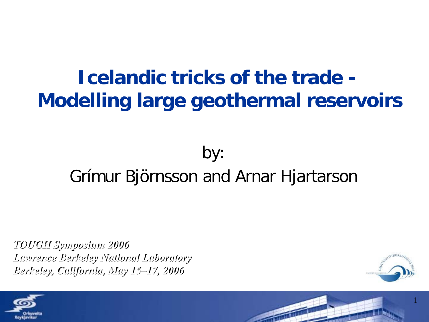### **Icelandic tricks of the trade - Modelling large geothermal reservoirs**

#### by: Grímur Björnsson and Arnar Hjartarson

*TOUGH Symposium 2006 Lawrence Berkeley National Laboratory Berkeley, California, May 15–17, 2006*





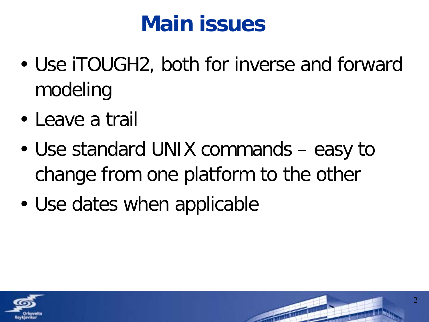## **Main issues**

- Use iTOUGH2, both for inverse and forward modeling
- Leave a trail
- Use standard UNIX commands easy to change from one platform to the other
- Use dates when applicable

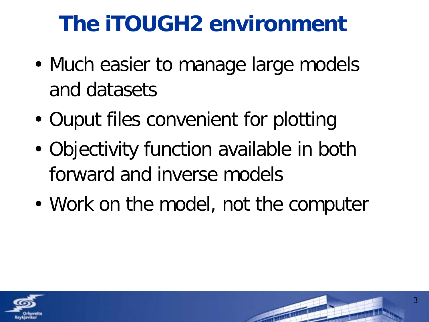# **The iTOUGH2 environment**

- Much easier to manage large models and datasets
- Ouput files convenient for plotting
- Objectivity function available in both forward and inverse models
- Work on the model, not the computer

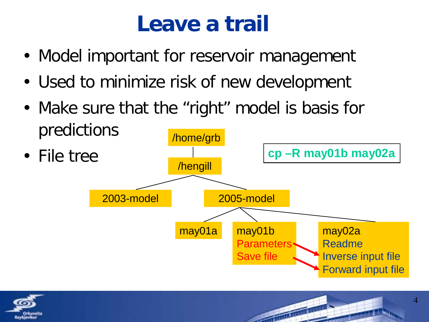## **Leave a trail**

- Model important for reservoir management
- Used to minimize risk of new development
- Make sure that the "right" model is basis for predictions



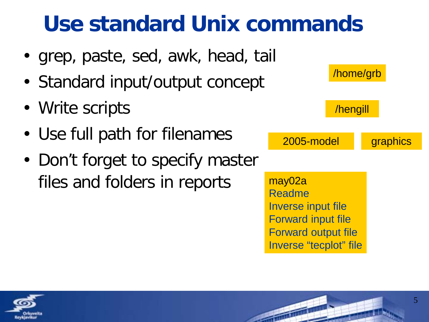## **Use standard Unix commands**

- grep, paste, sed, awk, head, tail
- Standard input/output concept
- Write scripts
- Use full path for filenames
- Don't forget to specify master files and folders in reports



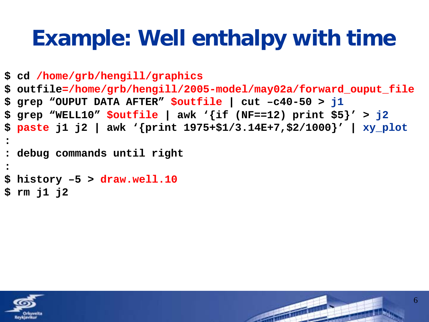## **Example: Well enthalpy with time**

```
$ cd /home/grb/hengill/graphics
$ outfile=/home/grb/hengill/2005-model/may02a/forward_ouput_file
$ grep "OUPUT DATA AFTER" $outfile | cut –c40-50 > j1
$ grep "WELL10" $outfile | awk '{if (NF==12) print $5}' > j2
$ paste j1 j2 | awk '{print 1975+$1/3.14E+7,$2/1000}' | xy_plot
:
: debug commands until right
:
$ history –5 > draw.well.10
$ rm j1 j2
```